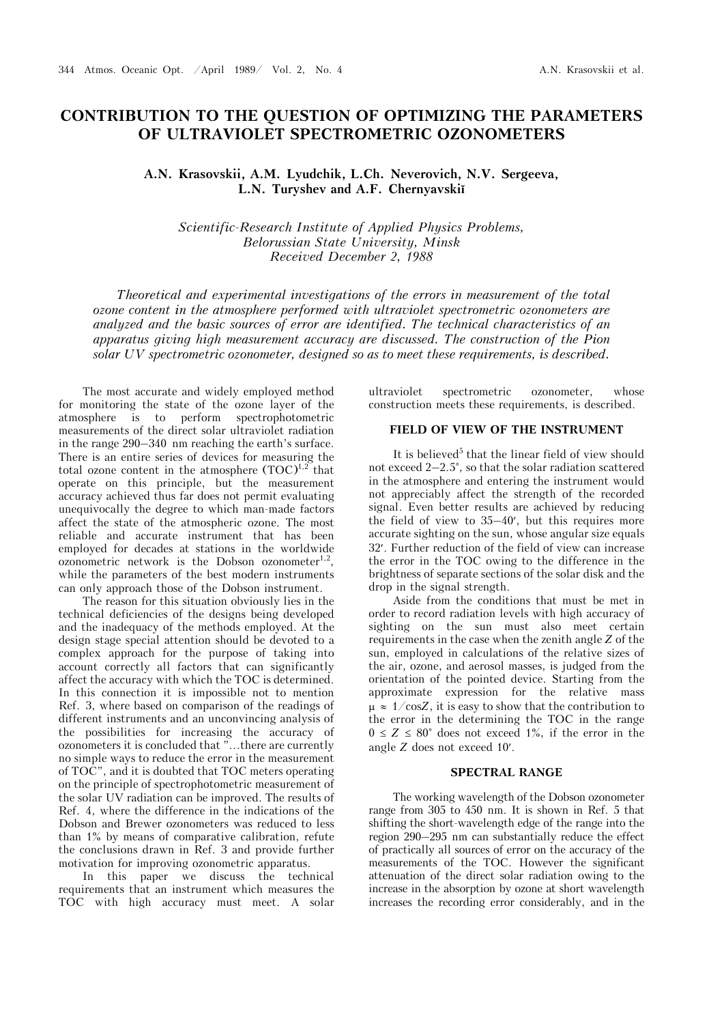# **CONTRIBUTION TO THE QUESTION OF OPTIMIZING THE PARAMETERS OF ULTRAVIOLET SPECTROMETRIC OZONOMETERS**

**A.N. Krasovskii, A.M. Lyudchik, L.Ch. Neverovich, N.V. Sergeeva, L.N. Turyshev and A.F. Chernyavskiĭ**

*Scientific-Research Institute of Applied Physics Problems, Belorussian State University, Minsk Received December 2, 1988* 

*Theoretical and experimental investigations of the errors in measurement of the total ozone content in the atmosphere performed with ultraviolet spectrometric ozonometers are analyzed and the basic sources of error are identified. The technical characteristics of an apparatus giving high measurement accuracy are discussed. The construction of the Pion solar UV spectrometric ozonometer, designed so as to meet these requirements, is described.*

The most accurate and widely employed method for monitoring the state of the ozone layer of the atmosphere is to perform spectrophotometric measurements of the direct solar ultraviolet radiation in the range 290–340 nm reaching the earth's surface. There is an entire series of devices for measuring the total ozone content in the atmosphere  $(TOC)^{1,2}$  that operate on this principle, but the measurement accuracy achieved thus far does not permit evaluating unequivocally the degree to which man-made factors affect the state of the atmospheric ozone. The most reliable and accurate instrument that has been employed for decades at stations in the worldwide ozonometric network is the Dobson ozonometer $^{1,2}$ , while the parameters of the best modern instruments can only approach those of the Dobson instrument.

The reason for this situation obviously lies in the technical deficiencies of the designs being developed and the inadequacy of the methods employed. At the design stage special attention should be devoted to a complex approach for the purpose of taking into account correctly all factors that can significantly affect the accuracy with which the TOC is determined. In this connection it is impossible not to mention Ref. 3, where based on comparison of the readings of different instruments and an unconvincing analysis of the possibilities for increasing the accuracy of ozonometers it is concluded that "...there are currently no simple ways to reduce the error in the measurement of TOC", and it is doubted that TOC meters operating on the principle of spectrophotometric measurement of the solar UV radiation can be improved. The results of Ref. 4, where the difference in the indications of the Dobson and Brewer ozonometers was reduced to less than 1% by means of comparative calibration, refute the conclusions drawn in Ref. 3 and provide further motivation for improving ozonometric apparatus.

In this paper we discuss the technical requirements that an instrument which measures the TOC with high accuracy must meet. A solar ultraviolet spectrometric ozonometer, whose construction meets these requirements, is described.

#### **FIELD OF VIEW OF THE INSTRUMENT**

It is believed<sup>5</sup> that the linear field of view should not exceed 2–2.5°, so that the solar radiation scattered in the atmosphere and entering the instrument would not appreciably affect the strength of the recorded signal. Even better results are achieved by reducing the field of view to 35–40, but this requires more accurate sighting on the sun, whose angular size equals 32. Further reduction of the field of view can increase the error in the TOC owing to the difference in the brightness of separate sections of the solar disk and the drop in the signal strength.

Aside from the conditions that must be met in order to record radiation levels with high accuracy of sighting on the sun must also meet certain requirements in the case when the zenith angle *Z* of the sun, employed in calculations of the relative sizes of the air, ozone, and aerosol masses, is judged from the orientation of the pointed device. Starting from the approximate expression for the relative mass  $\mu \approx 1/\cos Z$ , it is easy to show that the contribution to the error in the determining the TOC in the range  $0 \leq Z \leq 80^{\circ}$  does not exceed 1%, if the error in the angle *Z* does not exceed 10.

#### **SPECTRAL RANGE**

The working wavelength of the Dobson ozonometer range from 305 to 450 nm. It is shown in Ref. 5 that shifting the short-wavelength edge of the range into the region 290–295 nm can substantially reduce the effect of practically all sources of error on the accuracy of the measurements of the TOC. However the significant attenuation of the direct solar radiation owing to the increase in the absorption by ozone at short wavelength increases the recording error considerably, and in the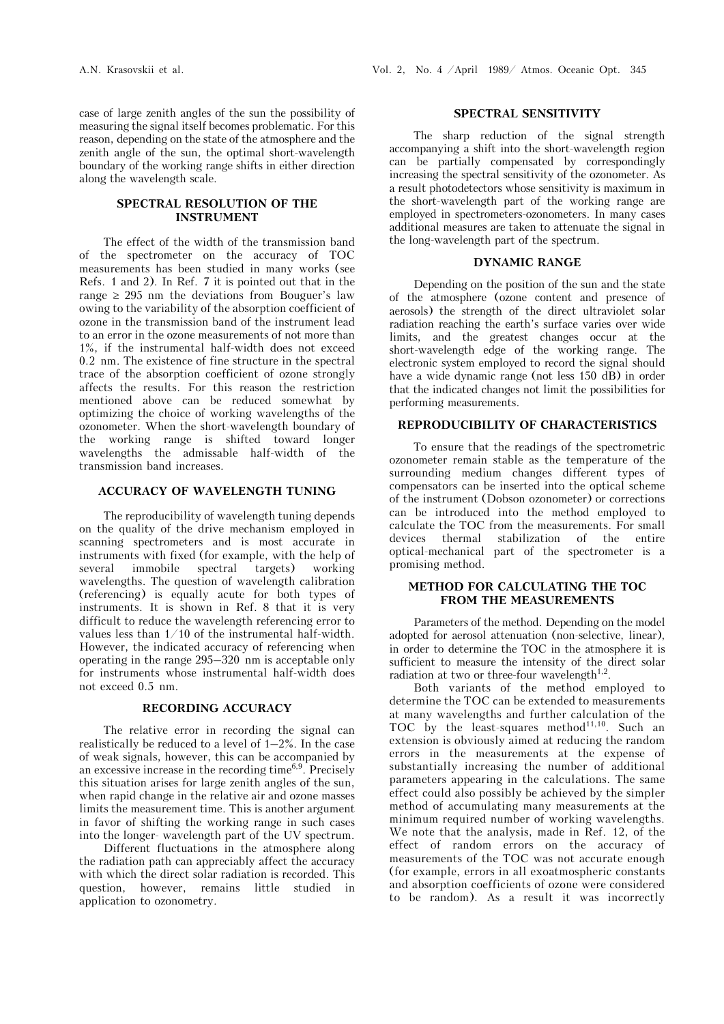## **SPECTRAL RESOLUTION OF THE INSTRUMENT**

The effect of the width of the transmission band of the spectrometer on the accuracy of TOC measurements has been studied in many works (see Refs. 1 and 2). In Ref. 7 it is pointed out that in the range  $\geq$  295 nm the deviations from Bouguer's law owing to the variability of the absorption coefficient of ozone in the transmission band of the instrument lead to an error in the ozone measurements of not more than 1%, if the instrumental half-width does not exceed 0.2 nm. The existence of fine structure in the spectral trace of the absorption coefficient of ozone strongly affects the results. For this reason the restriction mentioned above can be reduced somewhat by optimizing the choice of working wavelengths of the ozonometer. When the short-wavelength boundary of the working range is shifted toward longer wavelengths the admissable half-width of the transmission band increases.

#### **ACCURACY OF WAVELENGTH TUNING**

The reproducibility of wavelength tuning depends on the quality of the drive mechanism employed in scanning spectrometers and is most accurate in instruments with fixed (for example, with the help of several immobile spectral targets) working wavelengths. The question of wavelength calibration (referencing) is equally acute for both types of instruments. It is shown in Ref. 8 that it is very difficult to reduce the wavelength referencing error to values less than 1/10 of the instrumental half-width. However, the indicated accuracy of referencing when operating in the range 295–320 nm is acceptable only for instruments whose instrumental half-width does not exceed 0.5 nm.

#### **RECORDING ACCURACY**

The relative error in recording the signal can realistically be reduced to a level of 1–2%. In the case of weak signals, however, this can be accompanied by an excessive increase in the recording time $^{6,9}$ . Precisely this situation arises for large zenith angles of the sun, when rapid change in the relative air and ozone masses limits the measurement time. This is another argument in favor of shifting the working range in such cases into the longer- wavelength part of the UV spectrum.

Different fluctuations in the atmosphere along the radiation path can appreciably affect the accuracy with which the direct solar radiation is recorded. This question, however, remains little studied in application to ozonometry.

## **SPECTRAL SENSITIVITY**

The sharp reduction of the signal strength accompanying a shift into the short-wavelength region can be partially compensated by correspondingly increasing the spectral sensitivity of the ozonometer. As a result photodetectors whose sensitivity is maximum in the short-wavelength part of the working range are employed in spectrometers-ozonometers. In many cases additional measures are taken to attenuate the signal in the long-wavelength part of the spectrum.

## **DYNAMIC RANGE**

Depending on the position of the sun and the state of the atmosphere (ozone content and presence of aerosols) the strength of the direct ultraviolet solar radiation reaching the earth's surface varies over wide limits, and the greatest changes occur at the short-wavelength edge of the working range. The electronic system employed to record the signal should have a wide dynamic range (not less 150 dB) in order that the indicated changes not limit the possibilities for performing measurements.

## **REPRODUCIBILITY OF CHARACTERISTICS**

To ensure that the readings of the spectrometric ozonometer remain stable as the temperature of the surrounding medium changes different types of compensators can be inserted into the optical scheme of the instrument (Dobson ozonometer) or corrections can be introduced into the method employed to calculate the TOC from the measurements. For small devices thermal stabilization of the entire optical-mechanical part of the spectrometer is a promising method.

#### **METHOD FOR CALCULATING THE TOC FROM THE MEASUREMENTS**

Parameters of the method. Depending on the model adopted for aerosol attenuation (non-selective, linear), in order to determine the TOC in the atmosphere it is sufficient to measure the intensity of the direct solar radiation at two or three-four wavelength<sup>1,2</sup>.

Both variants of the method employed to determine the TOC can be extended to measurements at many wavelengths and further calculation of the TOC by the least-squares method $11,10$ . Such an extension is obviously aimed at reducing the random errors in the measurements at the expense of substantially increasing the number of additional parameters appearing in the calculations. The same effect could also possibly be achieved by the simpler method of accumulating many measurements at the minimum required number of working wavelengths. We note that the analysis, made in Ref. 12, of the effect of random errors on the accuracy of measurements of the TOC was not accurate enough (for example, errors in all exoatmospheric constants and absorption coefficients of ozone were considered to be random). As a result it was incorrectly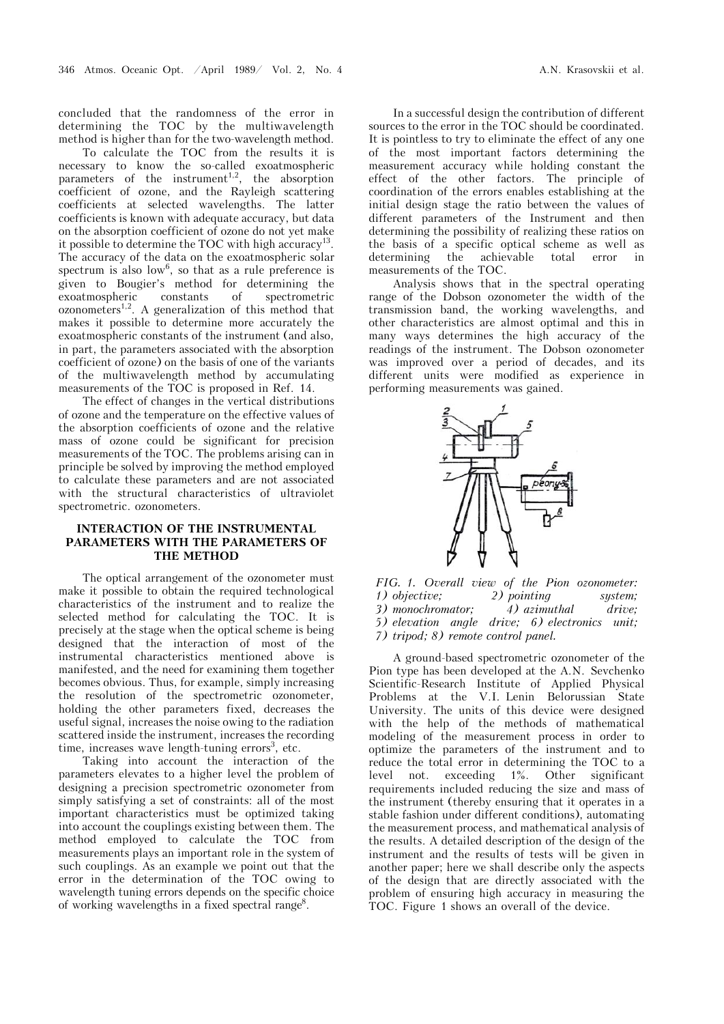concluded that the randomness of the error in determining the TOC by the multiwavelength method is higher than for the two-wavelength method.

To calculate the TOC from the results it is necessary to know the so-called exoatmospheric parameters of the instrument<sup>1,2</sup>, the absorption coefficient of ozone, and the Rayleigh scattering coefficients at selected wavelengths. The latter coefficients is known with adequate accuracy, but data on the absorption coefficient of ozone do not yet make it possible to determine the TOC with high accuracy<sup>13</sup>. The accuracy of the data on the exoatmospheric solar spectrum is also  $low^6$ , so that as a rule preference is given to Bougier's method for determining the exoatmospheric constants of spectrometric  $ozonometers<sup>1,2</sup>$ . A generalization of this method that makes it possible to determine more accurately the exoatmospheric constants of the instrument (and also, in part, the parameters associated with the absorption coefficient of ozone) on the basis of one of the variants of the multiwavelength method by accumulating measurements of the TOC is proposed in Ref. 14.

The effect of changes in the vertical distributions of ozone and the temperature on the effective values of the absorption coefficients of ozone and the relative mass of ozone could be significant for precision measurements of the TOC. The problems arising can in principle be solved by improving the method employed to calculate these parameters and are not associated with the structural characteristics of ultraviolet spectrometric. ozonometers.

## **INTERACTION OF THE INSTRUMENTAL PARAMETERS WITH THE PARAMETERS OF THE METHOD**

The optical arrangement of the ozonometer must make it possible to obtain the required technological characteristics of the instrument and to realize the selected method for calculating the TOC. It is precisely at the stage when the optical scheme is being designed that the interaction of most of the instrumental characteristics mentioned above is manifested, and the need for examining them together becomes obvious. Thus, for example, simply increasing the resolution of the spectrometric ozonometer, holding the other parameters fixed, decreases the useful signal, increases the noise owing to the radiation scattered inside the instrument, increases the recording time, increases wave length-tuning errors<sup>3</sup>, etc.

Taking into account the interaction of the parameters elevates to a higher level the problem of designing a precision spectrometric ozonometer from simply satisfying a set of constraints: all of the most important characteristics must be optimized taking into account the couplings existing between them. The method employed to calculate the TOC from measurements plays an important role in the system of such couplings. As an example we point out that the error in the determination of the TOC owing to wavelength tuning errors depends on the specific choice of working wavelengths in a fixed spectral range<sup>8</sup>.

In a successful design the contribution of different sources to the error in the TOC should be coordinated. It is pointless to try to eliminate the effect of any one of the most important factors determining the measurement accuracy while holding constant the effect of the other factors. The principle of coordination of the errors enables establishing at the initial design stage the ratio between the values of different parameters of the Instrument and then determining the possibility of realizing these ratios on the basis of a specific optical scheme as well as determining the achievable total error in measurements of the TOC.

Analysis shows that in the spectral operating range of the Dobson ozonometer the width of the transmission band, the working wavelengths, and other characteristics are almost optimal and this in many ways determines the high accuracy of the readings of the instrument. The Dobson ozonometer was improved over a period of decades, and its different units were modified as experience in performing measurements was gained.



*FIG. 1. Overall view of the Pion ozonometer: 1) objective; 2) pointing system; 3) monochromator; 4) azimuthal drive; 5) elevation angle drive; 6) electronics unit; 7) tripod; 8) remote control panel.*

A ground-based spectrometric ozonometer of the Pion type has been developed at the A.N. Sevchenko Scientific-Research Institute of Applied Physical Problems at the V.I. Lenin Belorussian State University. The units of this device were designed with the help of the methods of mathematical modeling of the measurement process in order to optimize the parameters of the instrument and to reduce the total error in determining the TOC to a level not. exceeding 1%. Other significant requirements included reducing the size and mass of the instrument (thereby ensuring that it operates in a stable fashion under different conditions), automating the measurement process, and mathematical analysis of the results. A detailed description of the design of the instrument and the results of tests will be given in another paper; here we shall describe only the aspects of the design that are directly associated with the problem of ensuring high accuracy in measuring the TOC. Figure 1 shows an overall of the device.